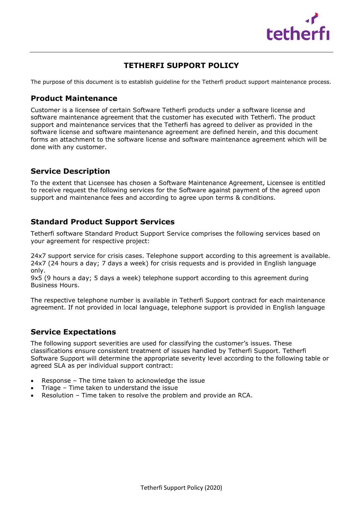

# **TETHERFI SUPPORT POLICY**

The purpose of this document is to establish guideline for the Tetherfi product support maintenance process.

#### **Product Maintenance**

Customer is a licensee of certain Software Tetherfi products under a software license and software maintenance agreement that the customer has executed with Tetherfi. The product support and maintenance services that the Tetherfi has agreed to deliver as provided in the software license and software maintenance agreement are defined herein, and this document forms an attachment to the software license and software maintenance agreement which will be done with any customer.

#### **Service Description**

To the extent that Licensee has chosen a Software Maintenance Agreement, Licensee is entitled to receive request the following services for the Software against payment of the agreed upon support and maintenance fees and according to agree upon terms & conditions.

## **Standard Product Support Services**

Tetherfi software Standard Product Support Service comprises the following services based on your agreement for respective project:

24x7 support service for crisis cases. Telephone support according to this agreement is available. 24x7 (24 hours a day; 7 days a week) for crisis requests and is provided in English language only.

9x5 (9 hours a day; 5 days a week) telephone support according to this agreement during Business Hours.

The respective telephone number is available in Tetherfi Support contract for each maintenance agreement. If not provided in local language, telephone support is provided in English language

#### **Service Expectations**

The following support severities are used for classifying the customer's issues. These classifications ensure consistent treatment of issues handled by Tetherfi Support. Tetherfi Software Support will determine the appropriate severity level according to the following table or agreed SLA as per individual support contract:

- Response The time taken to acknowledge the issue
- Triage Time taken to understand the issue
- Resolution Time taken to resolve the problem and provide an RCA.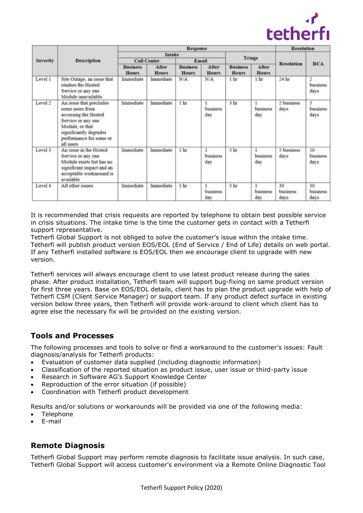

| <b>Severity</b> | <b>Description</b>                                                                                                                                                            | <b>Response</b>                 |                       |                                 |                       |                                 |                       | <b>Resolution</b>      |                                    |
|-----------------|-------------------------------------------------------------------------------------------------------------------------------------------------------------------------------|---------------------------------|-----------------------|---------------------------------|-----------------------|---------------------------------|-----------------------|------------------------|------------------------------------|
|                 |                                                                                                                                                                               | <b>Intake</b>                   |                       |                                 |                       |                                 |                       |                        |                                    |
|                 |                                                                                                                                                                               | <b>Call Center</b>              |                       | Email                           |                       | <b>Triage</b>                   |                       | <b>Resolution</b>      | <b>RCA</b>                         |
|                 |                                                                                                                                                                               | <b>Business</b><br><b>Hours</b> | After<br><b>Hours</b> | <b>Business</b><br><b>Hours</b> | After<br><b>Hours</b> | <b>Business</b><br><b>Hours</b> | After<br><b>Hours</b> |                        |                                    |
| Level 1         | Site Outage, an issue that<br>renders the Hosted<br>Service or any one<br>Module unavailable.                                                                                 | Immediate                       | Immediate             | N/A                             | N/A                   | 1 <sub>hr</sub>                 | 1 <sub>hr</sub>       | 24 hr                  | $\overline{2}$<br>business<br>days |
| Level 2         | An issue that precludes<br>some users from<br>accessing the Hosted<br>Service or any one<br>Module, or that<br>significantly degrades<br>performance for some or<br>all users | Immediate                       | Immediate             | 1 hr                            | 1<br>business<br>day  | 3 hr                            | 1<br>business<br>day  | 2 business<br>days     | 5<br>business<br>days              |
| Level 3         | An issue in the Hosted<br>Service or any one<br>Module exists but has no<br>significant impact and an<br>acceptable workaround is<br>available                                | Immediate                       | Immediate             | 1 <sub>hr</sub>                 | business<br>day       | 3 hr                            | business<br>day       | 5 business<br>days     | 10<br>business<br>days             |
| Level 4         | All other issues                                                                                                                                                              | Immediate                       | Immediate             | 1 hr                            | business<br>day       | 3 hr                            | business<br>day       | 30<br>business<br>days | 30<br>business<br>days             |

It is recommended that crisis requests are reported by telephone to obtain best possible service in crisis situations. The intake time is the time the customer gets in contact with a Tetherfi support representative.

Tetherfi Global Support is not obliged to solve the customer's issue within the intake time. Tetherfi will publish product version EOS/EOL (End of Service / End of Life) details on web portal. If any Tetherfi installed software is EOS/EOL then we encourage client to upgrade with new version.

Tetherfi services will always encourage client to use latest product release during the sales phase. After product installation, Tetherfi team will support bug-fixing on same product version for first three years. Base on EOS/EOL details, client has to plan the product upgrade with help of Tetherfi CSM (Client Service Manager) or support team. If any product defect surface in existing version below three years, then Tetherfi will provide work-around to client which client has to agree else the necessary fix will be provided on the existing version.

#### **Tools and Processes**

The following processes and tools to solve or find a workaround to the customer's issues: Fault diagnosis/analysis for Tetherfi products:

- Evaluation of customer data supplied (including diagnostic information)
- Classification of the reported situation as product issue, user issue or third-party issue
- Research in Software AG's Support Knowledge Center
- Reproduction of the error situation (if possible)
- Coordination with Tetherfi product development

Results and/or solutions or workarounds will be provided via one of the following media:

- Telephone
- E-mail

#### **Remote Diagnosis**

Tetherfi Global Support may perform remote diagnosis to facilitate issue analysis. In such case, Tetherfi Global Support will access customer's environment via a Remote Online Diagnostic Tool